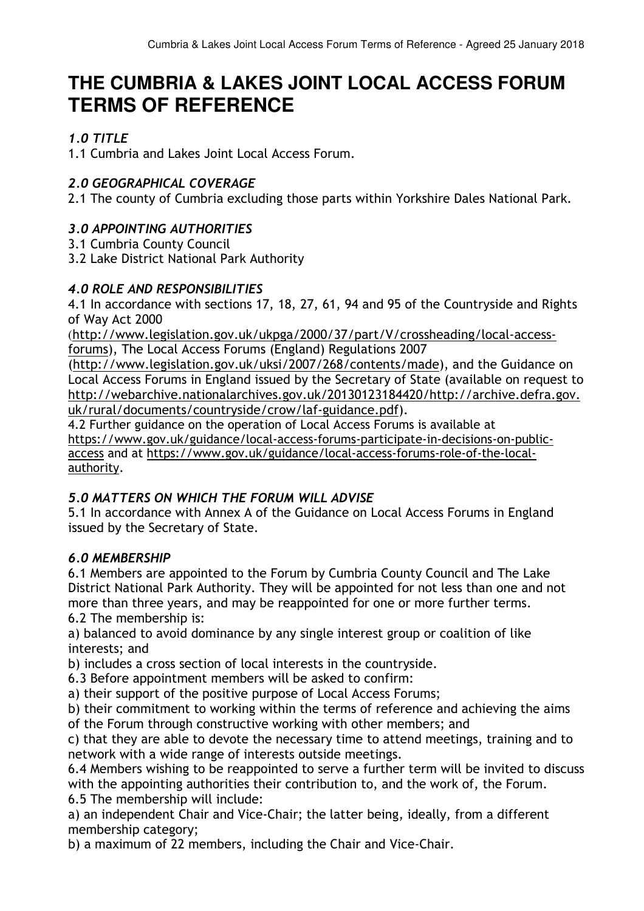# **THE CUMBRIA & LAKES JOINT LOCAL ACCESS FORUM TERMS OF REFERENCE**

# *1.0 TITLE*

1.1 Cumbria and Lakes Joint Local Access Forum.

# *2.0 GEOGRAPHICAL COVERAGE*

2.1 The county of Cumbria excluding those parts within Yorkshire Dales National Park.

# *3.0 APPOINTING AUTHORITIES*

3.1 Cumbria County Council

3.2 Lake District National Park Authority

# *4.0 ROLE AND RESPONSIBILITIES*

4.1 In accordance with sections 17, 18, 27, 61, 94 and 95 of the Countryside and Rights of Way Act 2000

(http://www.legislation.gov.uk/ukpga/2000/37/part/V/crossheading/local-accessforums), The Local Access Forums (England) Regulations 2007

(http://www.legislation.gov.uk/uksi/2007/268/contents/made), and the Guidance on Local Access Forums in England issued by the Secretary of State (available on request to http://webarchive.nationalarchives.gov.uk/20130123184420/http://archive.defra.gov. uk/rural/documents/countryside/crow/laf-guidance.pdf).

4.2 Further guidance on the operation of Local Access Forums is available at https://www.gov.uk/guidance/local-access-forums-participate-in-decisions-on-publicaccess and at https://www.gov.uk/guidance/local-access-forums-role-of-the-localauthority.

# *5.0 MATTERS ON WHICH THE FORUM WILL ADVISE*

5.1 In accordance with Annex A of the Guidance on Local Access Forums in England issued by the Secretary of State.

# *6.0 MEMBERSHIP*

6.1 Members are appointed to the Forum by Cumbria County Council and The Lake District National Park Authority. They will be appointed for not less than one and not more than three years, and may be reappointed for one or more further terms.

6.2 The membership is:

a) balanced to avoid dominance by any single interest group or coalition of like interests; and

b) includes a cross section of local interests in the countryside.

6.3 Before appointment members will be asked to confirm:

a) their support of the positive purpose of Local Access Forums;

b) their commitment to working within the terms of reference and achieving the aims of the Forum through constructive working with other members; and

c) that they are able to devote the necessary time to attend meetings, training and to network with a wide range of interests outside meetings.

6.4 Members wishing to be reappointed to serve a further term will be invited to discuss with the appointing authorities their contribution to, and the work of, the Forum. 6.5 The membership will include:

a) an independent Chair and Vice-Chair; the latter being, ideally, from a different membership category;

b) a maximum of 22 members, including the Chair and Vice-Chair.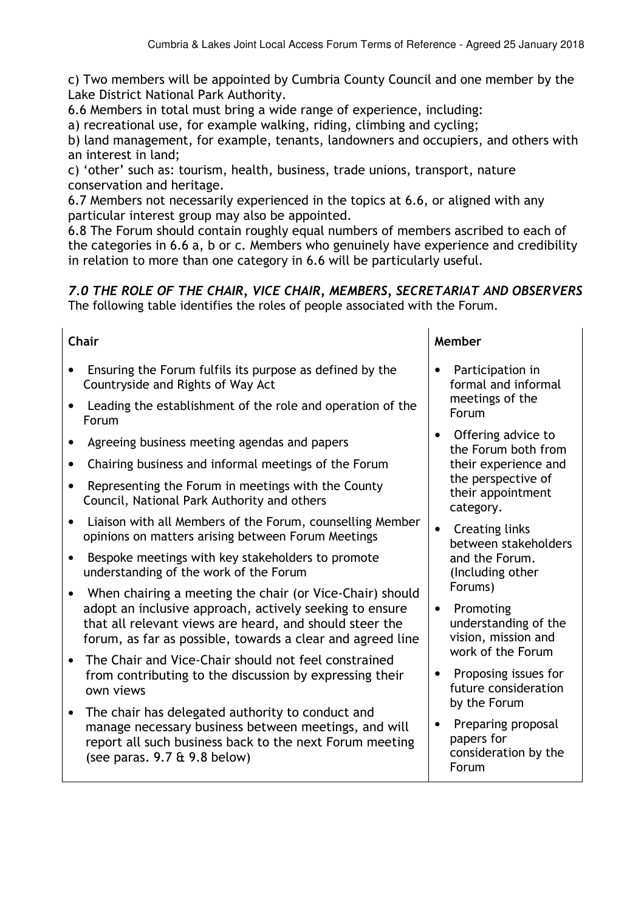c) Two members will be appointed by Cumbria County Council and one member by the Lake District National Park Authority.

6.6 Members in total must bring a wide range of experience, including:

a) recreational use, for example walking, riding, climbing and cycling;

b) land management, for example, tenants, landowners and occupiers, and others with an interest in land;

c) 'other' such as: tourism, health, business, trade unions, transport, nature conservation and heritage.

6.7 Members not necessarily experienced in the topics at 6.6, or aligned with any particular interest group may also be appointed.

6.8 The Forum should contain roughly equal numbers of members ascribed to each of the categories in 6.6 a, b or c. Members who genuinely have experience and credibility in relation to more than one category in 6.6 will be particularly useful.

### *7.0 THE ROLE OF THE CHAIR, VICE CHAIR, MEMBERS, SECRETARIAT AND OBSERVERS*  The following table identifies the roles of people associated with the Forum.

- Ensuring the Forum fulfils its purpose as defined by the Countryside and Rights of Way Act
- Leading the establishment of the role and operation of the Forum
- Agreeing business meeting agendas and papers
- Chairing business and informal meetings of the Forum
- Representing the Forum in meetings with the County Council, National Park Authority and others
- Liaison with all Members of the Forum, counselling Member opinions on matters arising between Forum Meetings
- Bespoke meetings with key stakeholders to promote understanding of the work of the Forum
- When chairing a meeting the chair (or Vice-Chair) should adopt an inclusive approach, actively seeking to ensure that all relevant views are heard, and should steer the forum, as far as possible, towards a clear and agreed line
- The Chair and Vice-Chair should not feel constrained from contributing to the discussion by expressing their own views
- The chair has delegated authority to conduct and manage necessary business between meetings, and will report all such business back to the next Forum meeting (see paras. 9.7 & 9.8 below)

#### **Chair Member**

- Participation in formal and informal meetings of the Forum
- Offering advice to the Forum both from their experience and the perspective of their appointment category.
- Creating links between stakeholders and the Forum. (Including other Forums)
- Promoting understanding of the vision, mission and work of the Forum
- Proposing issues for future consideration by the Forum
- Preparing proposal papers for consideration by the Forum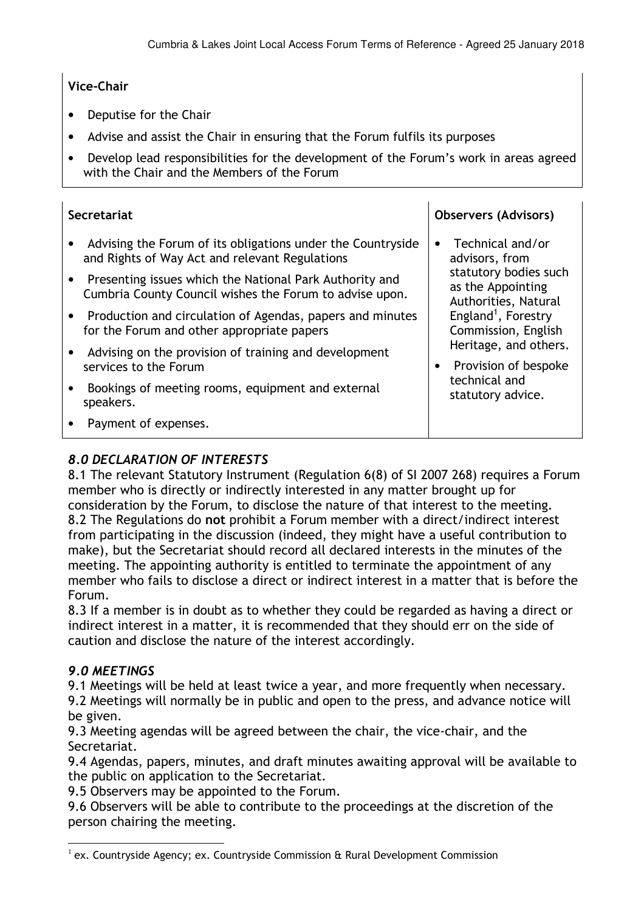#### **Vice-Chair**

- Deputise for the Chair
- Advise and assist the Chair in ensuring that the Forum fulfils its purposes
- Develop lead responsibilities for the development of the Forum's work in areas agreed with the Chair and the Members of the Forum

| <b>Secretariat</b>                                                                                                 | <b>Observers (Advisors)</b>                                                                                                                                                                                                                                            |
|--------------------------------------------------------------------------------------------------------------------|------------------------------------------------------------------------------------------------------------------------------------------------------------------------------------------------------------------------------------------------------------------------|
| Advising the Forum of its obligations under the Countryside<br>and Rights of Way Act and relevant Regulations      | Technical and/or<br>advisors, from<br>statutory bodies such<br>as the Appointing<br>Authorities, Natural<br>England <sup>1</sup> , Forestry<br>Commission, English<br>Heritage, and others.<br>Provision of bespoke<br>$\bullet$<br>technical and<br>statutory advice. |
| Presenting issues which the National Park Authority and<br>Cumbria County Council wishes the Forum to advise upon. |                                                                                                                                                                                                                                                                        |
| Production and circulation of Agendas, papers and minutes<br>for the Forum and other appropriate papers            |                                                                                                                                                                                                                                                                        |
| Advising on the provision of training and development<br>services to the Forum                                     |                                                                                                                                                                                                                                                                        |
| Bookings of meeting rooms, equipment and external<br>speakers.                                                     |                                                                                                                                                                                                                                                                        |
| Payment of expenses.                                                                                               |                                                                                                                                                                                                                                                                        |

# *8.0 DECLARATION OF INTERESTS*

8.1 The relevant Statutory Instrument (Regulation 6(8) of SI 2007 268) requires a Forum member who is directly or indirectly interested in any matter brought up for consideration by the Forum, to disclose the nature of that interest to the meeting. 8.2 The Regulations do **not** prohibit a Forum member with a direct/indirect interest from participating in the discussion (indeed, they might have a useful contribution to make), but the Secretariat should record all declared interests in the minutes of the meeting. The appointing authority is entitled to terminate the appointment of any member who fails to disclose a direct or indirect interest in a matter that is before the Forum.

8.3 If a member is in doubt as to whether they could be regarded as having a direct or indirect interest in a matter, it is recommended that they should err on the side of caution and disclose the nature of the interest accordingly.

#### *9.0 MEETINGS*

9.1 Meetings will be held at least twice a year, and more frequently when necessary. 9.2 Meetings will normally be in public and open to the press, and advance notice will be given.

9.3 Meeting agendas will be agreed between the chair, the vice-chair, and the Secretariat.

9.4 Agendas, papers, minutes, and draft minutes awaiting approval will be available to the public on application to the Secretariat.

9.5 Observers may be appointed to the Forum.

9.6 Observers will be able to contribute to the proceedings at the discretion of the person chairing the meeting.

 $\overline{a}$  $^1$  ex. Countryside Agency; ex. Countryside Commission & Rural Development Commission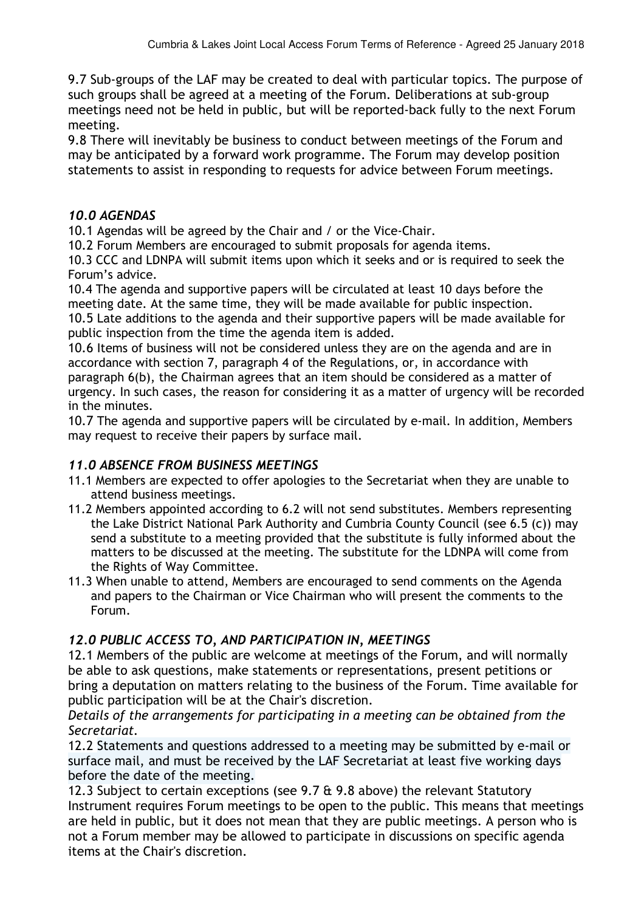9.7 Sub-groups of the LAF may be created to deal with particular topics. The purpose of such groups shall be agreed at a meeting of the Forum. Deliberations at sub-group meetings need not be held in public, but will be reported-back fully to the next Forum meeting.

9.8 There will inevitably be business to conduct between meetings of the Forum and may be anticipated by a forward work programme. The Forum may develop position statements to assist in responding to requests for advice between Forum meetings.

### *10.0 AGENDAS*

10.1 Agendas will be agreed by the Chair and / or the Vice-Chair.

10.2 Forum Members are encouraged to submit proposals for agenda items.

10.3 CCC and LDNPA will submit items upon which it seeks and or is required to seek the Forum's advice.

10.4 The agenda and supportive papers will be circulated at least 10 days before the meeting date. At the same time, they will be made available for public inspection. 10.5 Late additions to the agenda and their supportive papers will be made available for public inspection from the time the agenda item is added.

10.6 Items of business will not be considered unless they are on the agenda and are in accordance with section 7, paragraph 4 of the Regulations, or, in accordance with paragraph 6(b), the Chairman agrees that an item should be considered as a matter of urgency. In such cases, the reason for considering it as a matter of urgency will be recorded in the minutes.

10.7 The agenda and supportive papers will be circulated by e-mail. In addition, Members may request to receive their papers by surface mail.

# *11.0 ABSENCE FROM BUSINESS MEETINGS*

- 11.1 Members are expected to offer apologies to the Secretariat when they are unable to attend business meetings.
- 11.2 Members appointed according to 6.2 will not send substitutes. Members representing the Lake District National Park Authority and Cumbria County Council (see 6.5 (c)) may send a substitute to a meeting provided that the substitute is fully informed about the matters to be discussed at the meeting. The substitute for the LDNPA will come from the Rights of Way Committee.
- 11.3 When unable to attend, Members are encouraged to send comments on the Agenda and papers to the Chairman or Vice Chairman who will present the comments to the Forum.

# *12.0 PUBLIC ACCESS TO, AND PARTICIPATION IN, MEETINGS*

12.1 Members of the public are welcome at meetings of the Forum, and will normally be able to ask questions, make statements or representations, present petitions or bring a deputation on matters relating to the business of the Forum. Time available for public participation will be at the Chair's discretion.

*Details of the arrangements for participating in a meeting can be obtained from the Secretariat.*

12.2 Statements and questions addressed to a meeting may be submitted by e-mail or surface mail, and must be received by the LAF Secretariat at least five working days before the date of the meeting.

12.3 Subject to certain exceptions (see 9.7 & 9.8 above) the relevant Statutory Instrument requires Forum meetings to be open to the public. This means that meetings are held in public, but it does not mean that they are public meetings. A person who is not a Forum member may be allowed to participate in discussions on specific agenda items at the Chair's discretion.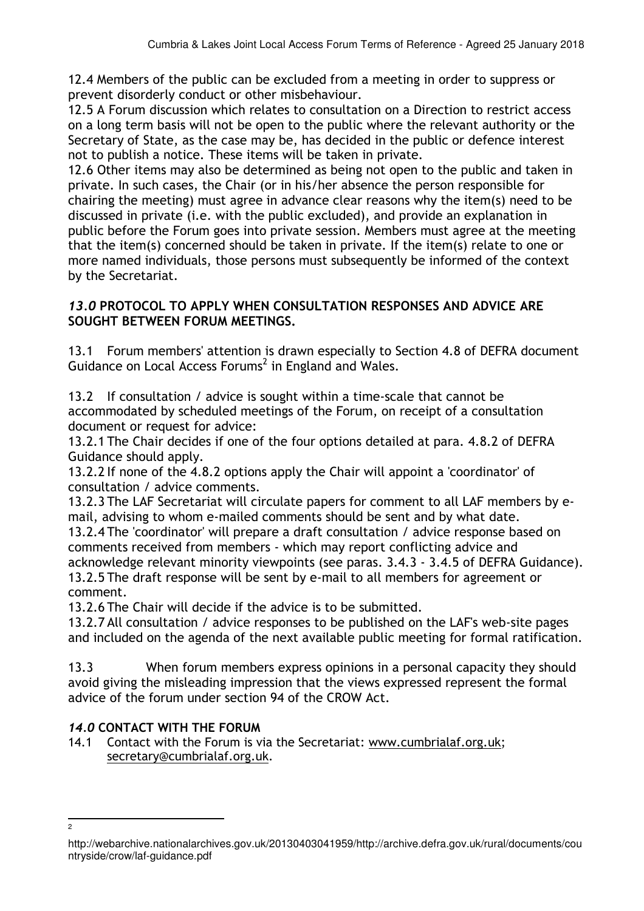12.4 Members of the public can be excluded from a meeting in order to suppress or prevent disorderly conduct or other misbehaviour.

12.5 A Forum discussion which relates to consultation on a Direction to restrict access on a long term basis will not be open to the public where the relevant authority or the Secretary of State, as the case may be, has decided in the public or defence interest not to publish a notice. These items will be taken in private.

12.6 Other items may also be determined as being not open to the public and taken in private. In such cases, the Chair (or in his/her absence the person responsible for chairing the meeting) must agree in advance clear reasons why the item(s) need to be discussed in private (i.e. with the public excluded), and provide an explanation in public before the Forum goes into private session. Members must agree at the meeting that the item(s) concerned should be taken in private. If the item(s) relate to one or more named individuals, those persons must subsequently be informed of the context by the Secretariat.

#### *13.0* **PROTOCOL TO APPLY WHEN CONSULTATION RESPONSES AND ADVICE ARE SOUGHT BETWEEN FORUM MEETINGS.**

13.1 Forum members' attention is drawn especially to Section 4.8 of DEFRA document Guidance on Local Access Forums<sup>2</sup> in England and Wales.

13.2 If consultation / advice is sought within a time-scale that cannot be accommodated by scheduled meetings of the Forum, on receipt of a consultation document or request for advice:

13.2.1 The Chair decides if one of the four options detailed at para. 4.8.2 of DEFRA Guidance should apply.

13.2.2 If none of the 4.8.2 options apply the Chair will appoint a 'coordinator' of consultation / advice comments.

13.2.3 The LAF Secretariat will circulate papers for comment to all LAF members by email, advising to whom e-mailed comments should be sent and by what date.

13.2.4 The 'coordinator' will prepare a draft consultation / advice response based on comments received from members - which may report conflicting advice and acknowledge relevant minority viewpoints (see paras. 3.4.3 - 3.4.5 of DEFRA Guidance). 13.2.5 The draft response will be sent by e-mail to all members for agreement or comment.

13.2.6 The Chair will decide if the advice is to be submitted.

13.2.7 All consultation / advice responses to be published on the LAF's web-site pages and included on the agenda of the next available public meeting for formal ratification.

13.3 When forum members express opinions in a personal capacity they should avoid giving the misleading impression that the views expressed represent the formal advice of the forum under section 94 of the CROW Act.

# *14.0* **CONTACT WITH THE FORUM**

14.1 Contact with the Forum is via the Secretariat: www.cumbrialaf.org.uk; secretary@cumbrialaf.org.uk.

<sup>-&</sup>lt;br>2

http://webarchive.nationalarchives.gov.uk/20130403041959/http://archive.defra.gov.uk/rural/documents/cou ntryside/crow/laf-guidance.pdf